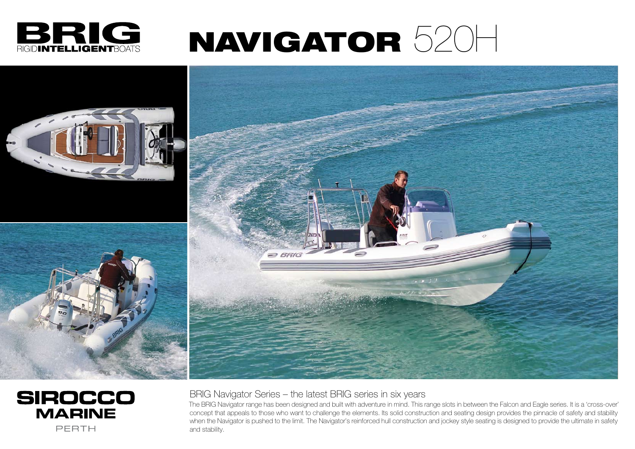## BRIG Navigator Series – the latest BRIG series in six years

The BRIG Navigator range has been designed and built with adventure in mind. This range slots in between the Falcon and Eagle series. It is a 'cross-over' concept that appeals to those who want to challenge the elements. Its solid construction and seating design provides the pinnacle of safety and stability when the Navigator is pushed to the limit. The Navigator's reinforced hull construction and jockey style seating is designed to provide the ultimate in safety and stability.



# NAVIGATOR 520H